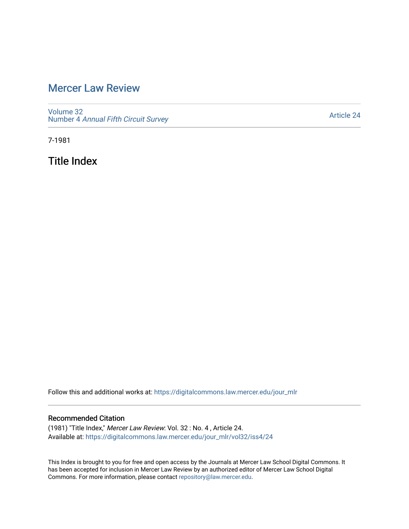# [Mercer Law Review](https://digitalcommons.law.mercer.edu/jour_mlr)

[Volume 32](https://digitalcommons.law.mercer.edu/jour_mlr/vol32) Number 4 [Annual Fifth Circuit Survey](https://digitalcommons.law.mercer.edu/jour_mlr/vol32/iss4)

[Article 24](https://digitalcommons.law.mercer.edu/jour_mlr/vol32/iss4/24) 

7-1981

Title Index

Follow this and additional works at: [https://digitalcommons.law.mercer.edu/jour\\_mlr](https://digitalcommons.law.mercer.edu/jour_mlr?utm_source=digitalcommons.law.mercer.edu%2Fjour_mlr%2Fvol32%2Fiss4%2F24&utm_medium=PDF&utm_campaign=PDFCoverPages)

## Recommended Citation

(1981) "Title Index," Mercer Law Review: Vol. 32 : No. 4 , Article 24. Available at: [https://digitalcommons.law.mercer.edu/jour\\_mlr/vol32/iss4/24](https://digitalcommons.law.mercer.edu/jour_mlr/vol32/iss4/24?utm_source=digitalcommons.law.mercer.edu%2Fjour_mlr%2Fvol32%2Fiss4%2F24&utm_medium=PDF&utm_campaign=PDFCoverPages) 

This Index is brought to you for free and open access by the Journals at Mercer Law School Digital Commons. It has been accepted for inclusion in Mercer Law Review by an authorized editor of Mercer Law School Digital Commons. For more information, please contact [repository@law.mercer.edu.](mailto:repository@law.mercer.edu)